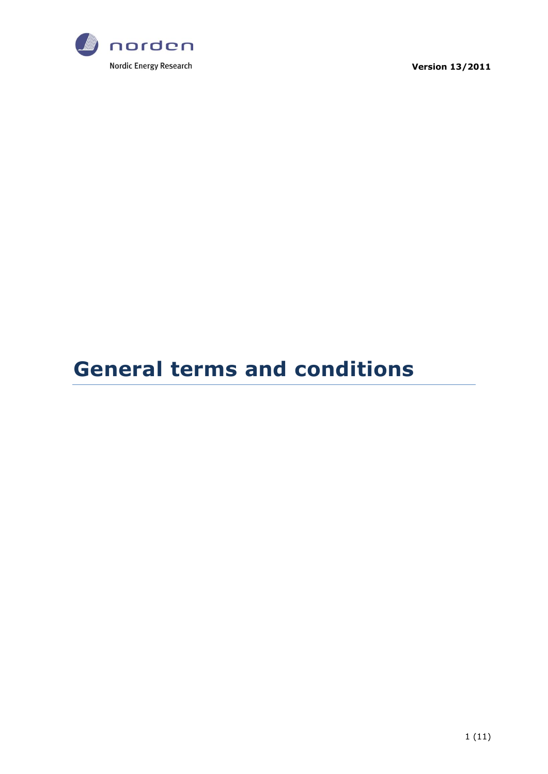

**Version 13/2011**

# **General terms and conditions**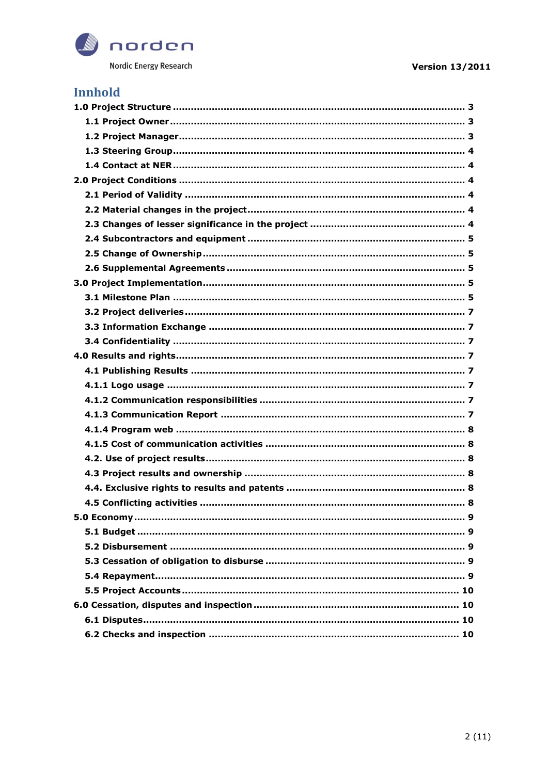

# **Innhold**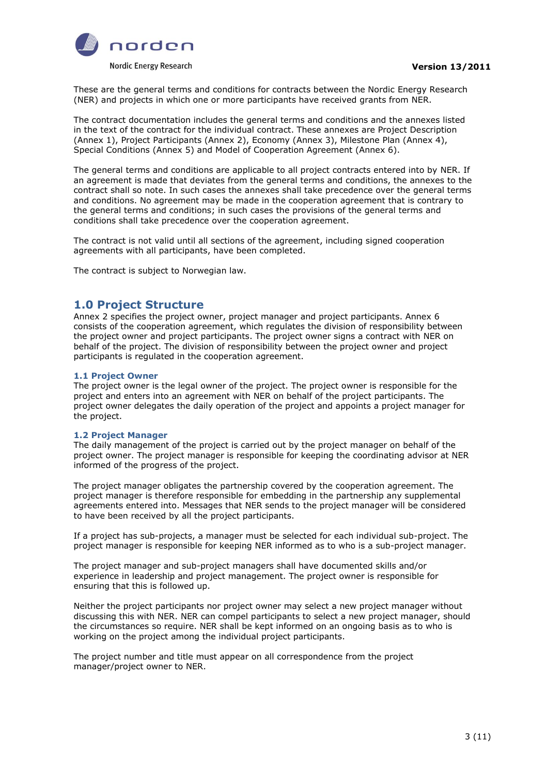

These are the general terms and conditions for contracts between the Nordic Energy Research (NER) and projects in which one or more participants have received grants from NER.

The contract documentation includes the general terms and conditions and the annexes listed in the text of the contract for the individual contract. These annexes are Project Description (Annex 1), Project Participants (Annex 2), Economy (Annex 3), Milestone Plan (Annex 4), Special Conditions (Annex 5) and Model of Cooperation Agreement (Annex 6).

The general terms and conditions are applicable to all project contracts entered into by NER. If an agreement is made that deviates from the general terms and conditions, the annexes to the contract shall so note. In such cases the annexes shall take precedence over the general terms and conditions. No agreement may be made in the cooperation agreement that is contrary to the general terms and conditions; in such cases the provisions of the general terms and conditions shall take precedence over the cooperation agreement.

The contract is not valid until all sections of the agreement, including signed cooperation agreements with all participants, have been completed.

<span id="page-2-0"></span>The contract is subject to Norwegian law.

# **1.0 Project Structure**

Annex 2 specifies the project owner, project manager and project participants. Annex 6 consists of the cooperation agreement, which regulates the division of responsibility between the project owner and project participants. The project owner signs a contract with NER on behalf of the project. The division of responsibility between the project owner and project participants is regulated in the cooperation agreement.

#### <span id="page-2-1"></span>**1.1 Project Owner**

The project owner is the legal owner of the project. The project owner is responsible for the project and enters into an agreement with NER on behalf of the project participants. The project owner delegates the daily operation of the project and appoints a project manager for the project.

#### <span id="page-2-2"></span>**1.2 Project Manager**

The daily management of the project is carried out by the project manager on behalf of the project owner. The project manager is responsible for keeping the coordinating advisor at NER informed of the progress of the project.

The project manager obligates the partnership covered by the cooperation agreement. The project manager is therefore responsible for embedding in the partnership any supplemental agreements entered into. Messages that NER sends to the project manager will be considered to have been received by all the project participants.

If a project has sub-projects, a manager must be selected for each individual sub-project. The project manager is responsible for keeping NER informed as to who is a sub-project manager.

The project manager and sub-project managers shall have documented skills and/or experience in leadership and project management. The project owner is responsible for ensuring that this is followed up.

Neither the project participants nor project owner may select a new project manager without discussing this with NER. NER can compel participants to select a new project manager, should the circumstances so require. NER shall be kept informed on an ongoing basis as to who is working on the project among the individual project participants.

The project number and title must appear on all correspondence from the project manager/project owner to NER.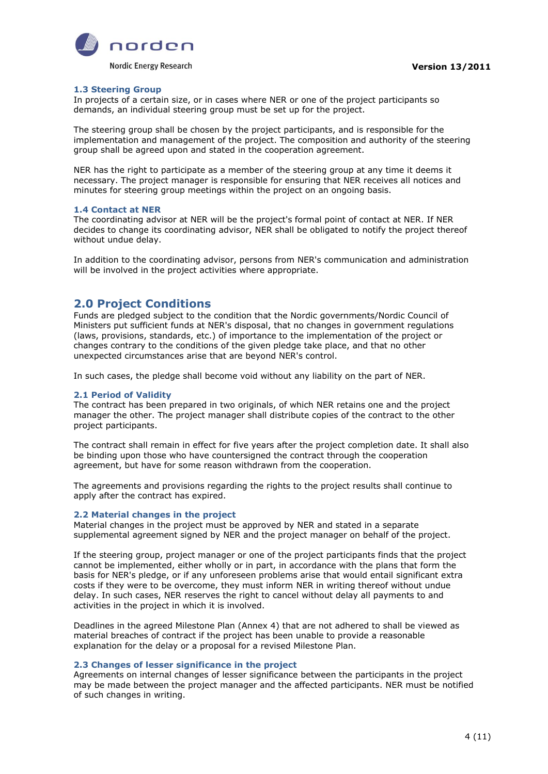

# <span id="page-3-0"></span>**1.3 Steering Group**

In projects of a certain size, or in cases where NER or one of the project participants so demands, an individual steering group must be set up for the project.

The steering group shall be chosen by the project participants, and is responsible for the implementation and management of the project. The composition and authority of the steering group shall be agreed upon and stated in the cooperation agreement.

NER has the right to participate as a member of the steering group at any time it deems it necessary. The project manager is responsible for ensuring that NER receives all notices and minutes for steering group meetings within the project on an ongoing basis.

# <span id="page-3-1"></span>**1.4 Contact at NER**

The coordinating advisor at NER will be the project's formal point of contact at NER. If NER decides to change its coordinating advisor, NER shall be obligated to notify the project thereof without undue delay.

<span id="page-3-2"></span>In addition to the coordinating advisor, persons from NER's communication and administration will be involved in the project activities where appropriate.

# **2.0 Project Conditions**

Funds are pledged subject to the condition that the Nordic governments/Nordic Council of Ministers put sufficient funds at NER's disposal, that no changes in government regulations (laws, provisions, standards, etc.) of importance to the implementation of the project or changes contrary to the conditions of the given pledge take place, and that no other unexpected circumstances arise that are beyond NER's control.

<span id="page-3-3"></span>In such cases, the pledge shall become void without any liability on the part of NER.

# **2.1 Period of Validity**

The contract has been prepared in two originals, of which NER retains one and the project manager the other. The project manager shall distribute copies of the contract to the other project participants.

The contract shall remain in effect for five years after the project completion date. It shall also be binding upon those who have countersigned the contract through the cooperation agreement, but have for some reason withdrawn from the cooperation.

The agreements and provisions regarding the rights to the project results shall continue to apply after the contract has expired.

#### <span id="page-3-4"></span>**2.2 Material changes in the project**

Material changes in the project must be approved by NER and stated in a separate supplemental agreement signed by NER and the project manager on behalf of the project.

If the steering group, project manager or one of the project participants finds that the project cannot be implemented, either wholly or in part, in accordance with the plans that form the basis for NER's pledge, or if any unforeseen problems arise that would entail significant extra costs if they were to be overcome, they must inform NER in writing thereof without undue delay. In such cases, NER reserves the right to cancel without delay all payments to and activities in the project in which it is involved.

Deadlines in the agreed Milestone Plan (Annex 4) that are not adhered to shall be viewed as material breaches of contract if the project has been unable to provide a reasonable explanation for the delay or a proposal for a revised Milestone Plan.

# <span id="page-3-5"></span>**2.3 Changes of lesser significance in the project**

Agreements on internal changes of lesser significance between the participants in the project may be made between the project manager and the affected participants. NER must be notified of such changes in writing.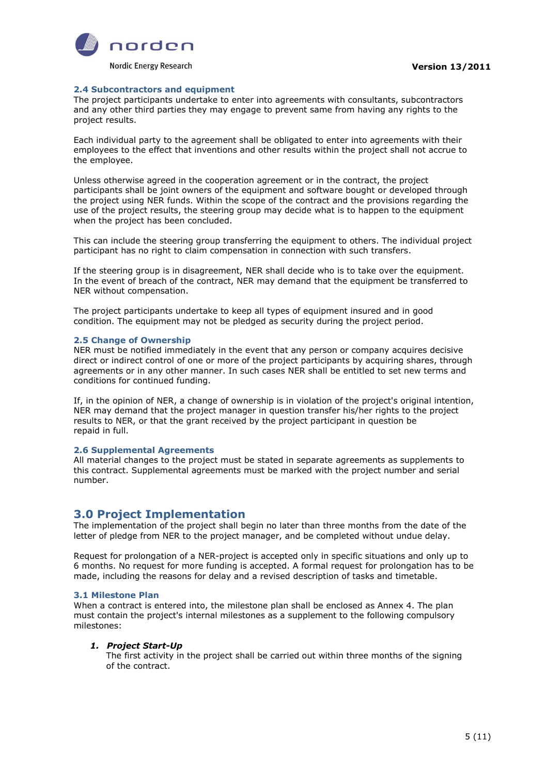

#### <span id="page-4-0"></span>**2.4 Subcontractors and equipment**

The project participants undertake to enter into agreements with consultants, subcontractors and any other third parties they may engage to prevent same from having any rights to the project results.

Each individual party to the agreement shall be obligated to enter into agreements with their employees to the effect that inventions and other results within the project shall not accrue to the employee.

Unless otherwise agreed in the cooperation agreement or in the contract, the project participants shall be joint owners of the equipment and software bought or developed through the project using NER funds. Within the scope of the contract and the provisions regarding the use of the project results, the steering group may decide what is to happen to the equipment when the project has been concluded.

This can include the steering group transferring the equipment to others. The individual project participant has no right to claim compensation in connection with such transfers.

If the steering group is in disagreement, NER shall decide who is to take over the equipment. In the event of breach of the contract, NER may demand that the equipment be transferred to NER without compensation.

The project participants undertake to keep all types of equipment insured and in good condition. The equipment may not be pledged as security during the project period.

#### <span id="page-4-1"></span>**2.5 Change of Ownership**

NER must be notified immediately in the event that any person or company acquires decisive direct or indirect control of one or more of the project participants by acquiring shares, through agreements or in any other manner. In such cases NER shall be entitled to set new terms and conditions for continued funding.

If, in the opinion of NER, a change of ownership is in violation of the project's original intention, NER may demand that the project manager in question transfer his/her rights to the project results to NER, or that the grant received by the project participant in question be repaid in full.

# <span id="page-4-2"></span>**2.6 Supplemental Agreements**

All material changes to the project must be stated in separate agreements as supplements to this contract. Supplemental agreements must be marked with the project number and serial number.

# <span id="page-4-3"></span>**3.0 Project Implementation**

The implementation of the project shall begin no later than three months from the date of the letter of pledge from NER to the project manager, and be completed without undue delay.

Request for prolongation of a NER-project is accepted only in specific situations and only up to 6 months. No request for more funding is accepted. A formal request for prolongation has to be made, including the reasons for delay and a revised description of tasks and timetable.

# <span id="page-4-4"></span>**3.1 Milestone Plan**

When a contract is entered into, the milestone plan shall be enclosed as Annex 4. The plan must contain the project's internal milestones as a supplement to the following compulsory milestones:

# *1. Project Start-Up*

The first activity in the project shall be carried out within three months of the signing of the contract.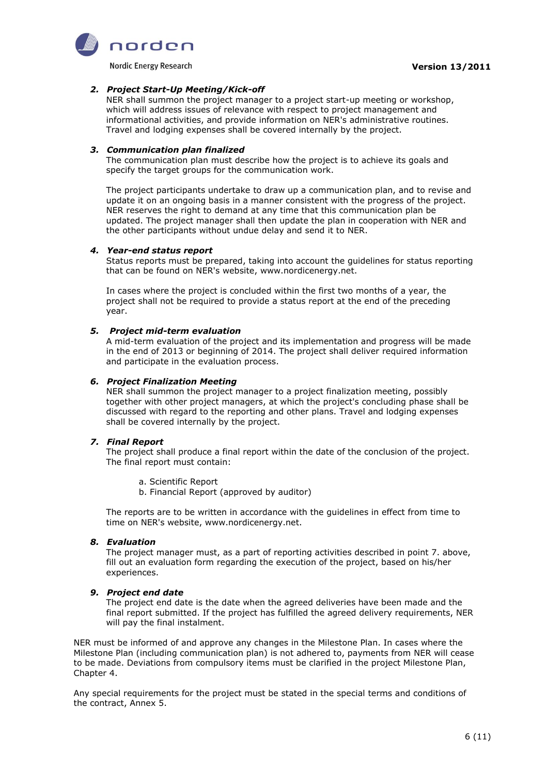

Nordic Energy Research

# *2. Project Start-Up Meeting/Kick-off*

NER shall summon the project manager to a project start-up meeting or workshop, which will address issues of relevance with respect to project management and informational activities, and provide information on NER's administrative routines. Travel and lodging expenses shall be covered internally by the project.

#### *3. Communication plan finalized*

The communication plan must describe how the project is to achieve its goals and specify the target groups for the communication work.

The project participants undertake to draw up a communication plan, and to revise and update it on an ongoing basis in a manner consistent with the progress of the project. NER reserves the right to demand at any time that this communication plan be updated. The project manager shall then update the plan in cooperation with NER and the other participants without undue delay and send it to NER.

#### *4. Year-end status report*

Status reports must be prepared, taking into account the guidelines for status reporting that can be found on NER's website, www.nordicenergy.net.

In cases where the project is concluded within the first two months of a year, the project shall not be required to provide a status report at the end of the preceding year.

# *5. Project mid-term evaluation*

A mid-term evaluation of the project and its implementation and progress will be made in the end of 2013 or beginning of 2014. The project shall deliver required information and participate in the evaluation process.

# *6. Project Finalization Meeting*

NER shall summon the project manager to a project finalization meeting, possibly together with other project managers, at which the project's concluding phase shall be discussed with regard to the reporting and other plans. Travel and lodging expenses shall be covered internally by the project.

# *7. Final Report*

The project shall produce a final report within the date of the conclusion of the project. The final report must contain:

- a. Scientific Report
- b. Financial Report (approved by auditor)

The reports are to be written in accordance with the guidelines in effect from time to time on NER's website, www.nordicenergy.net.

#### *8. Evaluation*

The project manager must, as a part of reporting activities described in point 7. above, fill out an evaluation form regarding the execution of the project, based on his/her experiences.

# *9. Project end date*

The project end date is the date when the agreed deliveries have been made and the final report submitted. If the project has fulfilled the agreed delivery requirements, NER will pay the final instalment.

NER must be informed of and approve any changes in the Milestone Plan. In cases where the Milestone Plan (including communication plan) is not adhered to, payments from NER will cease to be made. Deviations from compulsory items must be clarified in the project Milestone Plan, Chapter 4.

Any special requirements for the project must be stated in the special terms and conditions of the contract, Annex 5.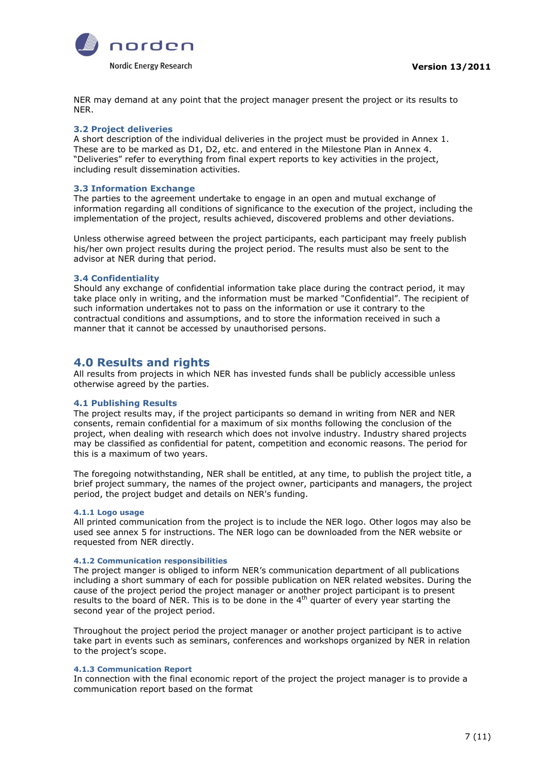

NER may demand at any point that the project manager present the project or its results to NER.

#### <span id="page-6-0"></span>**3.2 Project deliveries**

A short description of the individual deliveries in the project must be provided in Annex 1. These are to be marked as D1, D2, etc. and entered in the Milestone Plan in Annex 4. "Deliveries" refer to everything from final expert reports to key activities in the project, including result dissemination activities.

#### <span id="page-6-1"></span>**3.3 Information Exchange**

The parties to the agreement undertake to engage in an open and mutual exchange of information regarding all conditions of significance to the execution of the project, including the implementation of the project, results achieved, discovered problems and other deviations.

Unless otherwise agreed between the project participants, each participant may freely publish his/her own project results during the project period. The results must also be sent to the advisor at NER during that period.

# <span id="page-6-2"></span>**3.4 Confidentiality**

Should any exchange of confidential information take place during the contract period, it may take place only in writing, and the information must be marked "Confidential". The recipient of such information undertakes not to pass on the information or use it contrary to the contractual conditions and assumptions, and to store the information received in such a manner that it cannot be accessed by unauthorised persons.

# <span id="page-6-3"></span>**4.0 Results and rights**

All results from projects in which NER has invested funds shall be publicly accessible unless otherwise agreed by the parties.

# <span id="page-6-4"></span>**4.1 Publishing Results**

The project results may, if the project participants so demand in writing from NER and NER consents, remain confidential for a maximum of six months following the conclusion of the project, when dealing with research which does not involve industry. Industry shared projects may be classified as confidential for patent, competition and economic reasons. The period for this is a maximum of two years.

The foregoing notwithstanding, NER shall be entitled, at any time, to publish the project title, a brief project summary, the names of the project owner, participants and managers, the project period, the project budget and details on NER's funding.

#### <span id="page-6-5"></span>**4.1.1 Logo usage**

All printed communication from the project is to include the NER logo. Other logos may also be used see annex 5 for instructions. The NER logo can be downloaded from the NER website or requested from NER directly.

#### <span id="page-6-6"></span>**4.1.2 Communication responsibilities**

The project manger is obliged to inform NER's communication department of all publications including a short summary of each for possible publication on NER related websites. During the cause of the project period the project manager or another project participant is to present results to the board of NER. This is to be done in the 4<sup>th</sup> quarter of every year starting the second year of the project period.

Throughout the project period the project manager or another project participant is to active take part in events such as seminars, conferences and workshops organized by NER in relation to the project's scope.

# <span id="page-6-7"></span>**4.1.3 Communication Report**

In connection with the final economic report of the project the project manager is to provide a communication report based on the format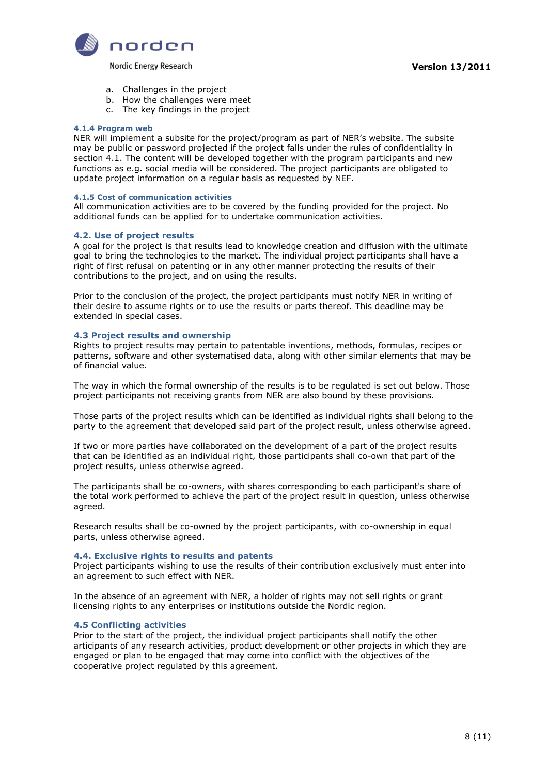

Nordic Energy Research

- a. Challenges in the project
- b. How the challenges were meet
- c. The key findings in the project

#### <span id="page-7-0"></span>**4.1.4 Program web**

NER will implement a subsite for the project/program as part of NER's website. The subsite may be public or password projected if the project falls under the rules of confidentiality in section 4.1. The content will be developed together with the program participants and new functions as e.g. social media will be considered. The project participants are obligated to update project information on a regular basis as requested by NEF.

#### <span id="page-7-1"></span>**4.1.5 Cost of communication activities**

All communication activities are to be covered by the funding provided for the project. No additional funds can be applied for to undertake communication activities.

#### <span id="page-7-2"></span>**4.2. Use of project results**

A goal for the project is that results lead to knowledge creation and diffusion with the ultimate goal to bring the technologies to the market. The individual project participants shall have a right of first refusal on patenting or in any other manner protecting the results of their contributions to the project, and on using the results.

Prior to the conclusion of the project, the project participants must notify NER in writing of their desire to assume rights or to use the results or parts thereof. This deadline may be extended in special cases.

#### <span id="page-7-3"></span>**4.3 Project results and ownership**

Rights to project results may pertain to patentable inventions, methods, formulas, recipes or patterns, software and other systematised data, along with other similar elements that may be of financial value.

The way in which the formal ownership of the results is to be regulated is set out below. Those project participants not receiving grants from NER are also bound by these provisions.

Those parts of the project results which can be identified as individual rights shall belong to the party to the agreement that developed said part of the project result, unless otherwise agreed.

If two or more parties have collaborated on the development of a part of the project results that can be identified as an individual right, those participants shall co-own that part of the project results, unless otherwise agreed.

The participants shall be co-owners, with shares corresponding to each participant's share of the total work performed to achieve the part of the project result in question, unless otherwise agreed.

Research results shall be co-owned by the project participants, with co-ownership in equal parts, unless otherwise agreed.

#### <span id="page-7-4"></span>**4.4. Exclusive rights to results and patents**

Project participants wishing to use the results of their contribution exclusively must enter into an agreement to such effect with NER.

In the absence of an agreement with NER, a holder of rights may not sell rights or grant licensing rights to any enterprises or institutions outside the Nordic region.

#### <span id="page-7-5"></span>**4.5 Conflicting activities**

Prior to the start of the project, the individual project participants shall notify the other articipants of any research activities, product development or other proiects in which thev are engaged or plan to be engaged that may come into conflict with the objectives of the cooperative project regulated by this agreement.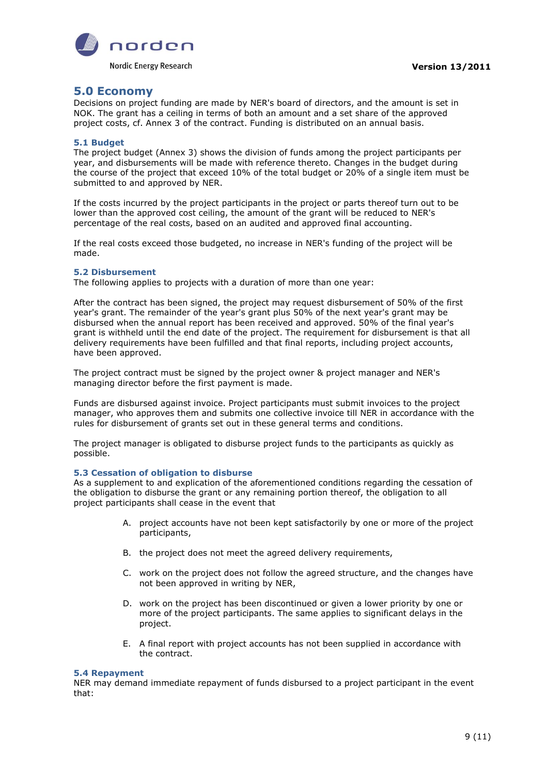

# <span id="page-8-0"></span>**5.0 Economy**

Decisions on project funding are made by NER's board of directors, and the amount is set in NOK. The grant has a ceiling in terms of both an amount and a set share of the approved project costs, cf. Annex 3 of the contract. Funding is distributed on an annual basis.

# <span id="page-8-1"></span>**5.1 Budget**

The project budget (Annex 3) shows the division of funds among the project participants per year, and disbursements will be made with reference thereto. Changes in the budget during the course of the project that exceed 10% of the total budget or 20% of a single item must be submitted to and approved by NER.

If the costs incurred by the project participants in the project or parts thereof turn out to be lower than the approved cost ceiling, the amount of the grant will be reduced to NER's percentage of the real costs, based on an audited and approved final accounting.

If the real costs exceed those budgeted, no increase in NER's funding of the project will be made.

#### <span id="page-8-2"></span>**5.2 Disbursement**

The following applies to projects with a duration of more than one year:

After the contract has been signed, the project may request disbursement of 50% of the first year's grant. The remainder of the year's grant plus 50% of the next year's grant may be disbursed when the annual report has been received and approved. 50% of the final year's grant is withheld until the end date of the project. The requirement for disbursement is that all delivery requirements have been fulfilled and that final reports, including project accounts, have been approved.

The project contract must be signed by the project owner & project manager and NER's managing director before the first payment is made.

Funds are disbursed against invoice. Project participants must submit invoices to the project manager, who approves them and submits one collective invoice till NER in accordance with the rules for disbursement of grants set out in these general terms and conditions.

The project manager is obligated to disburse project funds to the participants as quickly as possible.

# <span id="page-8-3"></span>**5.3 Cessation of obligation to disburse**

As a supplement to and explication of the aforementioned conditions regarding the cessation of the obligation to disburse the grant or any remaining portion thereof, the obligation to all project participants shall cease in the event that

- A. project accounts have not been kept satisfactorily by one or more of the project participants,
- B. the project does not meet the agreed delivery requirements,
- C. work on the project does not follow the agreed structure, and the changes have not been approved in writing by NER,
- D. work on the project has been discontinued or given a lower priority by one or more of the project participants. The same applies to significant delays in the project.
- E. A final report with project accounts has not been supplied in accordance with the contract.

#### <span id="page-8-4"></span>**5.4 Repayment**

NER may demand immediate repayment of funds disbursed to a project participant in the event that: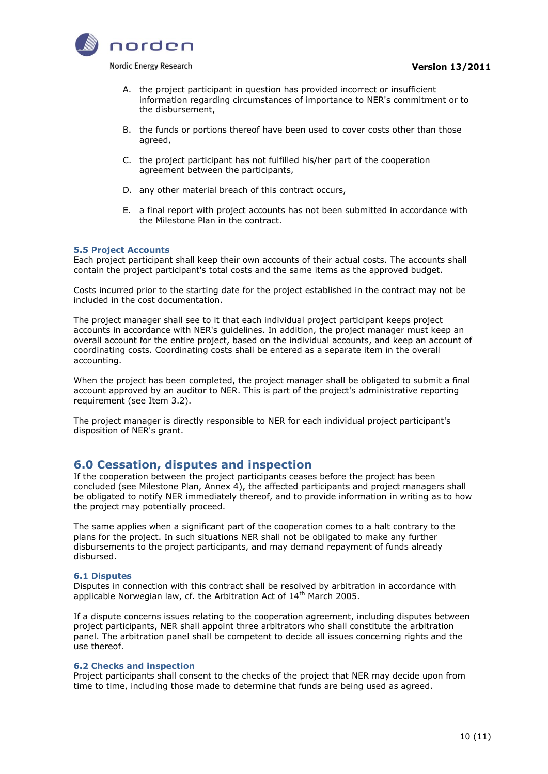

Nordic Energy Research

- A. the project participant in question has provided incorrect or insufficient information regarding circumstances of importance to NER's commitment or to the disbursement,
- B. the funds or portions thereof have been used to cover costs other than those agreed,
- C. the project participant has not fulfilled his/her part of the cooperation agreement between the participants,
- D. any other material breach of this contract occurs,
- E. a final report with project accounts has not been submitted in accordance with the Milestone Plan in the contract.

#### <span id="page-9-0"></span>**5.5 Project Accounts**

Each project participant shall keep their own accounts of their actual costs. The accounts shall contain the project participant's total costs and the same items as the approved budget.

Costs incurred prior to the starting date for the project established in the contract may not be included in the cost documentation.

The project manager shall see to it that each individual project participant keeps project accounts in accordance with NER's guidelines. In addition, the project manager must keep an overall account for the entire project, based on the individual accounts, and keep an account of coordinating costs. Coordinating costs shall be entered as a separate item in the overall accounting.

When the project has been completed, the project manager shall be obligated to submit a final account approved by an auditor to NER. This is part of the project's administrative reporting requirement (see Item 3.2).

<span id="page-9-1"></span>The project manager is directly responsible to NER for each individual project participant's disposition of NER's grant.

# **6.0 Cessation, disputes and inspection**

If the cooperation between the project participants ceases before the project has been concluded (see Milestone Plan, Annex 4), the affected participants and project managers shall be obligated to notify NER immediately thereof, and to provide information in writing as to how the project may potentially proceed.

The same applies when a significant part of the cooperation comes to a halt contrary to the plans for the project. In such situations NER shall not be obligated to make any further disbursements to the project participants, and may demand repayment of funds already disbursed.

#### <span id="page-9-2"></span>**6.1 Disputes**

Disputes in connection with this contract shall be resolved by arbitration in accordance with applicable Norwegian law, cf. the Arbitration Act of  $14<sup>th</sup>$  March 2005.

If a dispute concerns issues relating to the cooperation agreement, including disputes between project participants, NER shall appoint three arbitrators who shall constitute the arbitration panel. The arbitration panel shall be competent to decide all issues concerning rights and the use thereof.

#### <span id="page-9-3"></span>**6.2 Checks and inspection**

Project participants shall consent to the checks of the project that NER may decide upon from time to time, including those made to determine that funds are being used as agreed.